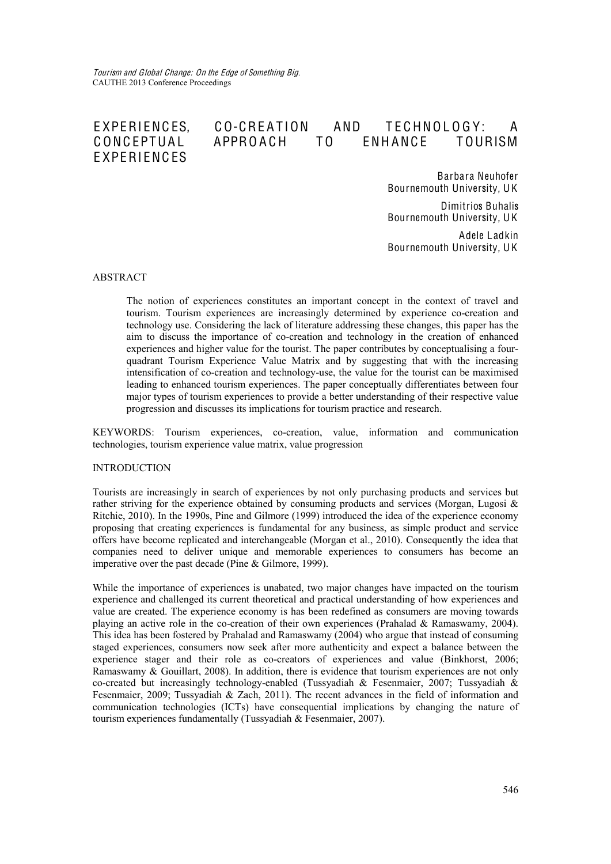# EXPERIENCES, CO-CREATION AND TECHNOLOGY: A CONCEPTUAL APPROACH TO ENHANCE TOURISM **EXPERIENCES**

Barbara Neuhofer Bournemouth University, U K

Dimitrios Buhalis Bournemouth University, U K

Adele Ladkin Bournemouth University, U K

### ABSTRACT

The notion of experiences constitutes an important concept in the context of travel and tourism. Tourism experiences are increasingly determined by experience co-creation and technology use. Considering the lack of literature addressing these changes, this paper has the aim to discuss the importance of co-creation and technology in the creation of enhanced experiences and higher value for the tourist. The paper contributes by conceptualising a fourquadrant Tourism Experience Value Matrix and by suggesting that with the increasing intensification of co-creation and technology-use, the value for the tourist can be maximised leading to enhanced tourism experiences. The paper conceptually differentiates between four major types of tourism experiences to provide a better understanding of their respective value progression and discusses its implications for tourism practice and research.

KEYWORDS: Tourism experiences, co-creation, value, information and communication technologies, tourism experience value matrix, value progression

### INTRODUCTION

Tourists are increasingly in search of experiences by not only purchasing products and services but rather striving for the experience obtained by consuming products and services (Morgan, Lugosi  $\&$ Ritchie, 2010). In the 1990s, Pine and Gilmore (1999) introduced the idea of the experience economy proposing that creating experiences is fundamental for any business, as simple product and service offers have become replicated and interchangeable (Morgan et al., 2010). Consequently the idea that companies need to deliver unique and memorable experiences to consumers has become an imperative over the past decade (Pine & Gilmore, 1999).

While the importance of experiences is unabated, two major changes have impacted on the tourism experience and challenged its current theoretical and practical understanding of how experiences and value are created. The experience economy is has been redefined as consumers are moving towards playing an active role in the co-creation of their own experiences (Prahalad & Ramaswamy, 2004). This idea has been fostered by Prahalad and Ramaswamy (2004) who argue that instead of consuming staged experiences, consumers now seek after more authenticity and expect a balance between the experience stager and their role as co-creators of experiences and value (Binkhorst, 2006; Ramaswamy  $\&$  Gouillart, 2008). In addition, there is evidence that tourism experiences are not only co-created but increasingly technology-enabled (Tussyadiah & Fesenmaier, 2007; Tussyadiah & Fesenmaier, 2009; Tussyadiah & Zach, 2011). The recent advances in the field of information and communication technologies (ICTs) have consequential implications by changing the nature of tourism experiences fundamentally (Tussyadiah & Fesenmaier, 2007).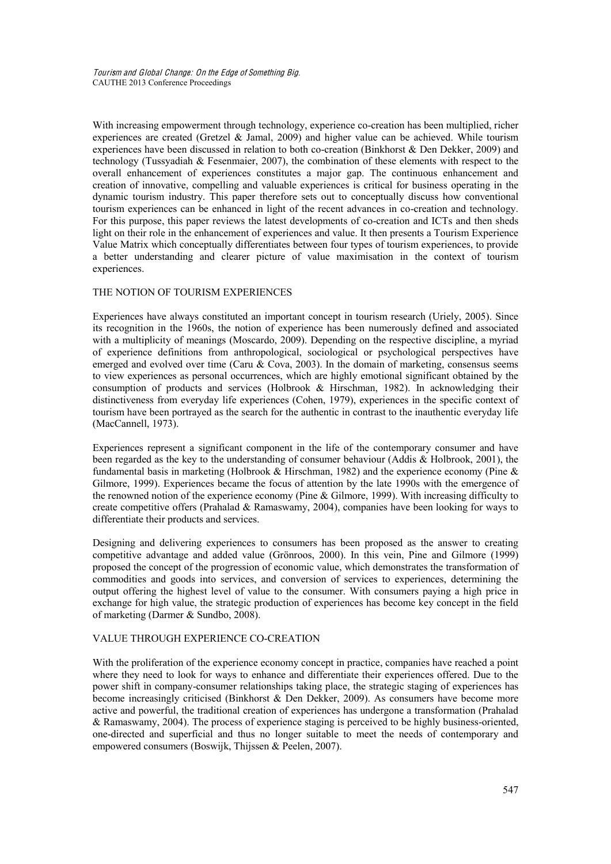With increasing empowerment through technology, experience co-creation has been multiplied, richer experiences are created (Gretzel & Jamal, 2009) and higher value can be achieved. While tourism experiences have been discussed in relation to both co-creation (Binkhorst & Den Dekker, 2009) and technology (Tussyadiah & Fesenmaier, 2007), the combination of these elements with respect to the overall enhancement of experiences constitutes a major gap. The continuous enhancement and creation of innovative, compelling and valuable experiences is critical for business operating in the dynamic tourism industry. This paper therefore sets out to conceptually discuss how conventional tourism experiences can be enhanced in light of the recent advances in co-creation and technology. For this purpose, this paper reviews the latest developments of co-creation and ICTs and then sheds light on their role in the enhancement of experiences and value. It then presents a Tourism Experience Value Matrix which conceptually differentiates between four types of tourism experiences, to provide a better understanding and clearer picture of value maximisation in the context of tourism experiences.

### THE NOTION OF TOURISM EXPERIENCES

Experiences have always constituted an important concept in tourism research (Uriely, 2005). Since its recognition in the 1960s, the notion of experience has been numerously defined and associated with a multiplicity of meanings (Moscardo, 2009). Depending on the respective discipline, a myriad of experience definitions from anthropological, sociological or psychological perspectives have emerged and evolved over time (Caru & Cova, 2003). In the domain of marketing, consensus seems to view experiences as personal occurrences, which are highly emotional significant obtained by the consumption of products and services (Holbrook & Hirschman, 1982). In acknowledging their distinctiveness from everyday life experiences (Cohen, 1979), experiences in the specific context of tourism have been portrayed as the search for the authentic in contrast to the inauthentic everyday life (MacCannell, 1973).

Experiences represent a significant component in the life of the contemporary consumer and have been regarded as the key to the understanding of consumer behaviour (Addis & Holbrook, 2001), the fundamental basis in marketing (Holbrook & Hirschman, 1982) and the experience economy (Pine  $\&$ Gilmore, 1999). Experiences became the focus of attention by the late 1990s with the emergence of the renowned notion of the experience economy (Pine & Gilmore, 1999). With increasing difficulty to create competitive offers (Prahalad & Ramaswamy, 2004), companies have been looking for ways to differentiate their products and services.

Designing and delivering experiences to consumers has been proposed as the answer to creating competitive advantage and added value (Grönroos, 2000). In this vein, Pine and Gilmore (1999) proposed the concept of the progression of economic value, which demonstrates the transformation of commodities and goods into services, and conversion of services to experiences, determining the output offering the highest level of value to the consumer. With consumers paying a high price in exchange for high value, the strategic production of experiences has become key concept in the field of marketing (Darmer & Sundbo, 2008).

### VALUE THROUGH EXPERIENCE CO-CREATION

With the proliferation of the experience economy concept in practice, companies have reached a point where they need to look for ways to enhance and differentiate their experiences offered. Due to the power shift in company-consumer relationships taking place, the strategic staging of experiences has become increasingly criticised (Binkhorst & Den Dekker, 2009). As consumers have become more active and powerful, the traditional creation of experiences has undergone a transformation (Prahalad & Ramaswamy, 2004). The process of experience staging is perceived to be highly business-oriented, one-directed and superficial and thus no longer suitable to meet the needs of contemporary and empowered consumers (Boswijk, Thijssen & Peelen, 2007).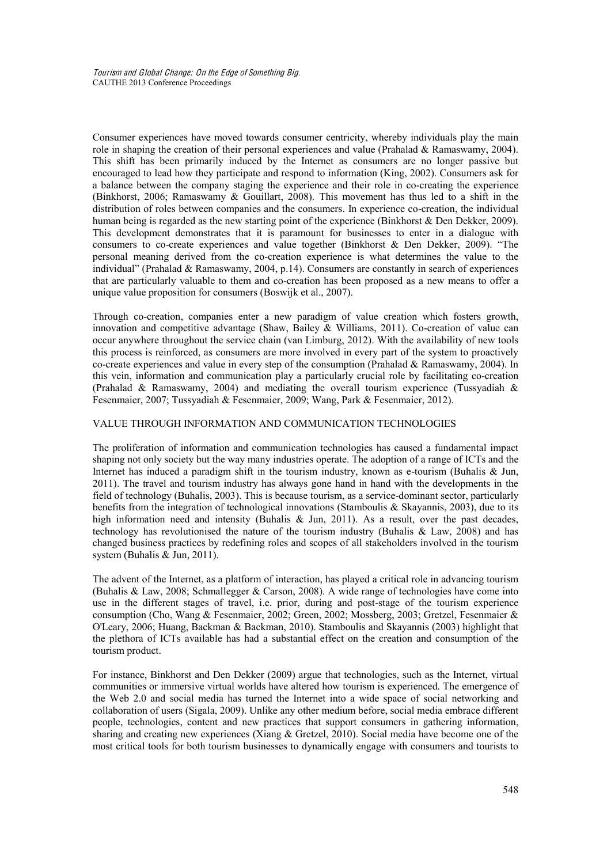Consumer experiences have moved towards consumer centricity, whereby individuals play the main role in shaping the creation of their personal experiences and value (Prahalad & Ramaswamy, 2004). This shift has been primarily induced by the Internet as consumers are no longer passive but encouraged to lead how they participate and respond to information (King, 2002). Consumers ask for a balance between the company staging the experience and their role in co-creating the experience (Binkhorst, 2006; Ramaswamy & Gouillart, 2008). This movement has thus led to a shift in the distribution of roles between companies and the consumers. In experience co-creation, the individual human being is regarded as the new starting point of the experience (Binkhorst & Den Dekker, 2009). This development demonstrates that it is paramount for businesses to enter in a dialogue with consumers to co-create experiences and value together (Binkhorst & Den Dekker, 2009). "The personal meaning derived from the co-creation experience is what determines the value to the individual" (Prahalad & Ramaswamy, 2004, p.14). Consumers are constantly in search of experiences that are particularly valuable to them and co-creation has been proposed as a new means to offer a unique value proposition for consumers (Boswijk et al., 2007).

Through co-creation, companies enter a new paradigm of value creation which fosters growth, innovation and competitive advantage (Shaw, Bailey & Williams, 2011). Co-creation of value can occur anywhere throughout the service chain (van Limburg, 2012). With the availability of new tools this process is reinforced, as consumers are more involved in every part of the system to proactively co-create experiences and value in every step of the consumption (Prahalad & Ramaswamy, 2004). In this vein, information and communication play a particularly crucial role by facilitating co-creation (Prahalad & Ramaswamy, 2004) and mediating the overall tourism experience (Tussyadiah  $\&$ Fesenmaier, 2007; Tussyadiah & Fesenmaier, 2009; Wang, Park & Fesenmaier, 2012).

### VALUE THROUGH INFORMATION AND COMMUNICATION TECHNOLOGIES

The proliferation of information and communication technologies has caused a fundamental impact shaping not only society but the way many industries operate. The adoption of a range of ICTs and the Internet has induced a paradigm shift in the tourism industry, known as e-tourism (Buhalis & Jun, 2011). The travel and tourism industry has always gone hand in hand with the developments in the field of technology (Buhalis, 2003). This is because tourism, as a service-dominant sector, particularly benefits from the integration of technological innovations (Stamboulis & Skayannis, 2003), due to its high information need and intensity (Buhalis & Jun, 2011). As a result, over the past decades, technology has revolutionised the nature of the tourism industry (Buhalis & Law, 2008) and has changed business practices by redefining roles and scopes of all stakeholders involved in the tourism system (Buhalis & Jun, 2011).

The advent of the Internet, as a platform of interaction, has played a critical role in advancing tourism (Buhalis & Law, 2008; Schmallegger & Carson, 2008). A wide range of technologies have come into use in the different stages of travel, i.e. prior, during and post-stage of the tourism experience consumption (Cho, Wang & Fesenmaier, 2002; Green, 2002; Mossberg, 2003; Gretzel, Fesenmaier & O'Leary, 2006; Huang, Backman & Backman, 2010). Stamboulis and Skayannis (2003) highlight that the plethora of ICTs available has had a substantial effect on the creation and consumption of the tourism product.

For instance, Binkhorst and Den Dekker (2009) argue that technologies, such as the Internet, virtual communities or immersive virtual worlds have altered how tourism is experienced. The emergence of the Web 2.0 and social media has turned the Internet into a wide space of social networking and collaboration of users (Sigala, 2009). Unlike any other medium before, social media embrace different people, technologies, content and new practices that support consumers in gathering information, sharing and creating new experiences (Xiang & Gretzel, 2010). Social media have become one of the most critical tools for both tourism businesses to dynamically engage with consumers and tourists to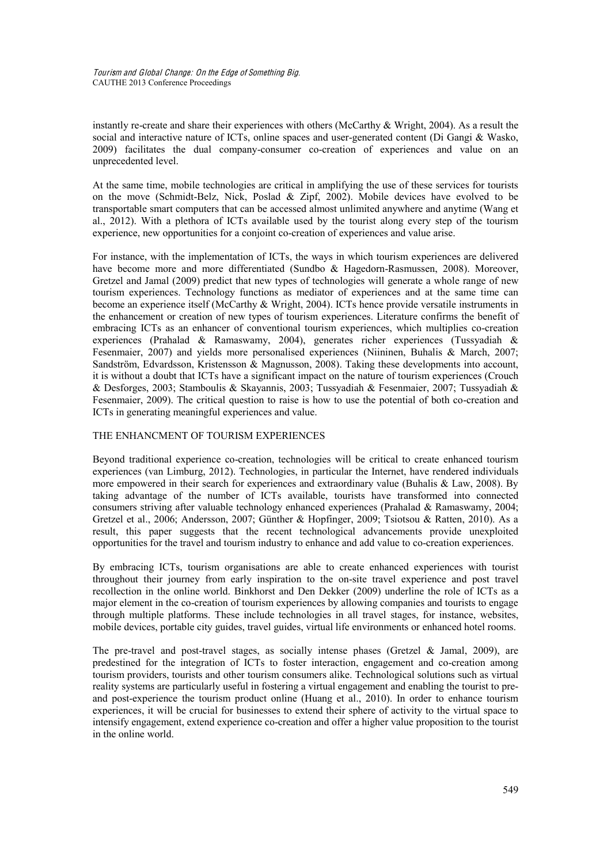instantly re-create and share their experiences with others (McCarthy & Wright, 2004). As a result the social and interactive nature of ICTs, online spaces and user-generated content (Di Gangi & Wasko, 2009) facilitates the dual company-consumer co-creation of experiences and value on an unprecedented level.

At the same time, mobile technologies are critical in amplifying the use of these services for tourists on the move (Schmidt-Belz, Nick, Poslad & Zipf, 2002). Mobile devices have evolved to be transportable smart computers that can be accessed almost unlimited anywhere and anytime (Wang et al., 2012). With a plethora of ICTs available used by the tourist along every step of the tourism experience, new opportunities for a conjoint co-creation of experiences and value arise.

For instance, with the implementation of ICTs, the ways in which tourism experiences are delivered have become more and more differentiated (Sundbo & Hagedorn-Rasmussen, 2008). Moreover, Gretzel and Jamal (2009) predict that new types of technologies will generate a whole range of new tourism experiences. Technology functions as mediator of experiences and at the same time can become an experience itself (McCarthy & Wright, 2004). ICTs hence provide versatile instruments in the enhancement or creation of new types of tourism experiences. Literature confirms the benefit of embracing ICTs as an enhancer of conventional tourism experiences, which multiplies co-creation experiences (Prahalad & Ramaswamy, 2004), generates richer experiences (Tussyadiah & Fesenmaier, 2007) and yields more personalised experiences (Niininen, Buhalis & March, 2007; Sandström, Edvardsson, Kristensson & Magnusson, 2008). Taking these developments into account, it is without a doubt that ICTs have a significant impact on the nature of tourism experiences (Crouch & Desforges, 2003; Stamboulis & Skayannis, 2003; Tussyadiah & Fesenmaier, 2007; Tussyadiah & Fesenmaier, 2009). The critical question to raise is how to use the potential of both co-creation and ICTs in generating meaningful experiences and value.

# THE ENHANCMENT OF TOURISM EXPERIENCES

Beyond traditional experience co-creation, technologies will be critical to create enhanced tourism experiences (van Limburg, 2012). Technologies, in particular the Internet, have rendered individuals more empowered in their search for experiences and extraordinary value (Buhalis & Law, 2008). By taking advantage of the number of ICTs available, tourists have transformed into connected consumers striving after valuable technology enhanced experiences (Prahalad & Ramaswamy, 2004; Gretzel et al., 2006; Andersson, 2007; Günther & Hopfinger, 2009; Tsiotsou & Ratten, 2010). As a result, this paper suggests that the recent technological advancements provide unexploited opportunities for the travel and tourism industry to enhance and add value to co-creation experiences.

By embracing ICTs, tourism organisations are able to create enhanced experiences with tourist throughout their journey from early inspiration to the on-site travel experience and post travel recollection in the online world. Binkhorst and Den Dekker (2009) underline the role of ICTs as a major element in the co-creation of tourism experiences by allowing companies and tourists to engage through multiple platforms. These include technologies in all travel stages, for instance, websites, mobile devices, portable city guides, travel guides, virtual life environments or enhanced hotel rooms.

The pre-travel and post-travel stages, as socially intense phases (Gretzel  $\&$  Jamal, 2009), are predestined for the integration of ICTs to foster interaction, engagement and co-creation among tourism providers, tourists and other tourism consumers alike. Technological solutions such as virtual reality systems are particularly useful in fostering a virtual engagement and enabling the tourist to preand post-experience the tourism product online (Huang et al., 2010). In order to enhance tourism experiences, it will be crucial for businesses to extend their sphere of activity to the virtual space to intensify engagement, extend experience co-creation and offer a higher value proposition to the tourist in the online world.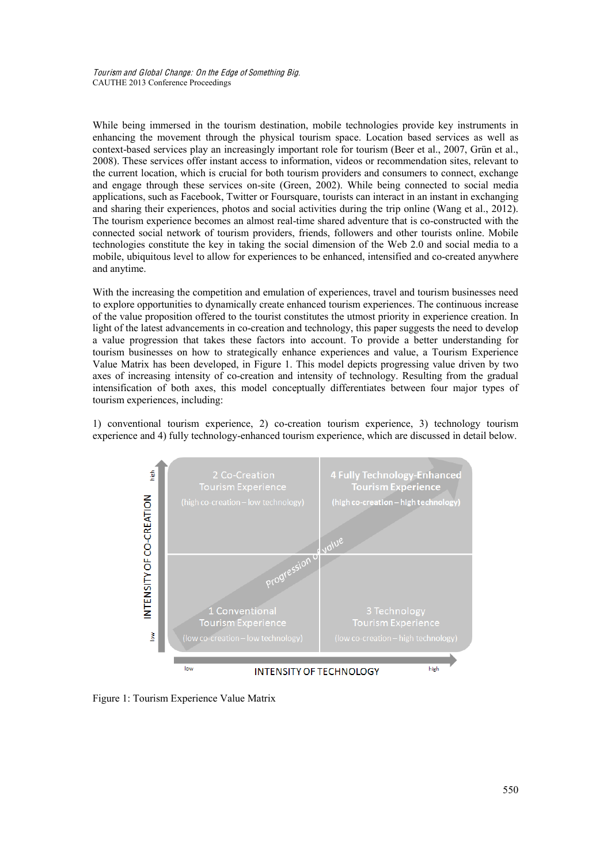While being immersed in the tourism destination, mobile technologies provide key instruments in enhancing the movement through the physical tourism space. Location based services as well as context-based services play an increasingly important role for tourism (Beer et al., 2007, Grün et al., 2008). These services offer instant access to information, videos or recommendation sites, relevant to the current location, which is crucial for both tourism providers and consumers to connect, exchange and engage through these services on-site (Green, 2002). While being connected to social media applications, such as Facebook, Twitter or Foursquare, tourists can interact in an instant in exchanging and sharing their experiences, photos and social activities during the trip online (Wang et al., 2012). The tourism experience becomes an almost real-time shared adventure that is co-constructed with the connected social network of tourism providers, friends, followers and other tourists online. Mobile technologies constitute the key in taking the social dimension of the Web 2.0 and social media to a mobile, ubiquitous level to allow for experiences to be enhanced, intensified and co-created anywhere and anytime.

With the increasing the competition and emulation of experiences, travel and tourism businesses need to explore opportunities to dynamically create enhanced tourism experiences. The continuous increase of the value proposition offered to the tourist constitutes the utmost priority in experience creation. In light of the latest advancements in co-creation and technology, this paper suggests the need to develop a value progression that takes these factors into account. To provide a better understanding for tourism businesses on how to strategically enhance experiences and value, a Tourism Experience Value Matrix has been developed, in Figure 1. This model depicts progressing value driven by two axes of increasing intensity of co-creation and intensity of technology. Resulting from the gradual intensification of both axes, this model conceptually differentiates between four major types of tourism experiences, including:

1) conventional tourism experience, 2) co-creation tourism experience, 3) technology tourism experience and 4) fully technology-enhanced tourism experience, which are discussed in detail below.



Figure 1: Tourism Experience Value Matrix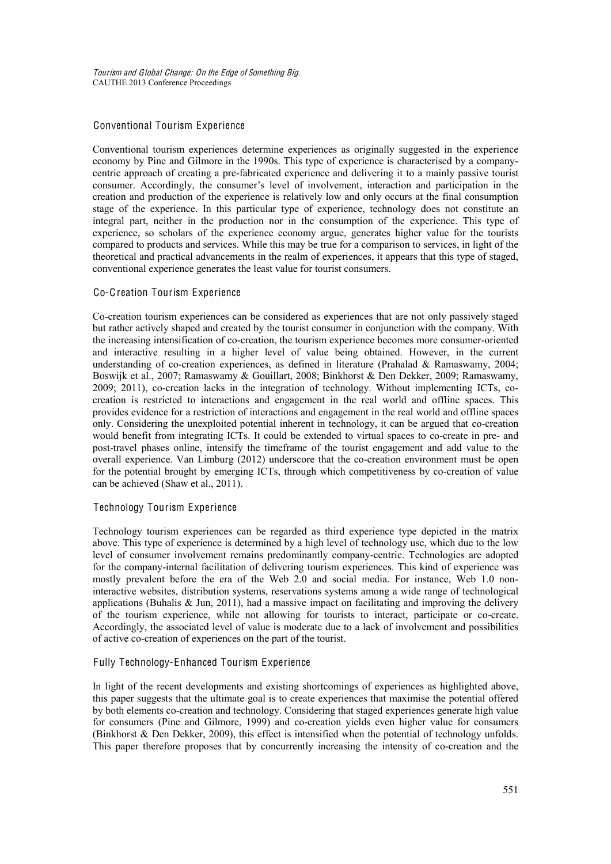# Conventional Tourism Experience

Conventional tourism experiences determine experiences as originally suggested in the experience economy by Pine and Gilmore in the 1990s. This type of experience is characterised by a companycentric approach of creating a pre-fabricated experience and delivering it to a mainly passive tourist consumer. Accordingly, the consumer's level of involvement, interaction and participation in the creation and production of the experience is relatively low and only occurs at the final consumption stage of the experience. In this particular type of experience, technology does not constitute an integral part, neither in the production nor in the consumption of the experience. This type of experience, so scholars of the experience economy argue, generates higher value for the tourists compared to products and services. While this may be true for a comparison to services, in light of the theoretical and practical advancements in the realm of experiences, it appears that this type of staged, conventional experience generates the least value for tourist consumers.

### Co-Creation Tourism Experience

Co-creation tourism experiences can be considered as experiences that are not only passively staged but rather actively shaped and created by the tourist consumer in conjunction with the company. With the increasing intensification of co-creation, the tourism experience becomes more consumer-oriented and interactive resulting in a higher level of value being obtained. However, in the current understanding of co-creation experiences, as defined in literature (Prahalad & Ramaswamy, 2004; Boswijk et al., 2007; Ramaswamy & Gouillart, 2008; Binkhorst & Den Dekker, 2009; Ramaswamy, 2009; 2011), co-creation lacks in the integration of technology. Without implementing ICTs, cocreation is restricted to interactions and engagement in the real world and offline spaces. This provides evidence for a restriction of interactions and engagement in the real world and offline spaces only. Considering the unexploited potential inherent in technology, it can be argued that co-creation would benefit from integrating ICTs. It could be extended to virtual spaces to co-create in pre- and post-travel phases online, intensify the timeframe of the tourist engagement and add value to the overall experience. Van Limburg (2012) underscore that the co-creation environment must be open for the potential brought by emerging ICTs, through which competitiveness by co-creation of value can be achieved (Shaw et al., 2011).

### Technology Tourism Experience

Technology tourism experiences can be regarded as third experience type depicted in the matrix above. This type of experience is determined by a high level of technology use, which due to the low level of consumer involvement remains predominantly company-centric. Technologies are adopted for the company-internal facilitation of delivering tourism experiences. This kind of experience was mostly prevalent before the era of the Web 2.0 and social media. For instance, Web 1.0 noninteractive websites, distribution systems, reservations systems among a wide range of technological applications (Buhalis  $\&$  Jun, 2011), had a massive impact on facilitating and improving the delivery of the tourism experience, while not allowing for tourists to interact, participate or co-create. Accordingly, the associated level of value is moderate due to a lack of involvement and possibilities of active co-creation of experiences on the part of the tourist.

# Fully Technology-Enhanced Tourism Experience

In light of the recent developments and existing shortcomings of experiences as highlighted above, this paper suggests that the ultimate goal is to create experiences that maximise the potential offered by both elements co-creation and technology. Considering that staged experiences generate high value for consumers (Pine and Gilmore, 1999) and co-creation yields even higher value for consumers (Binkhorst & Den Dekker, 2009), this effect is intensified when the potential of technology unfolds. This paper therefore proposes that by concurrently increasing the intensity of co-creation and the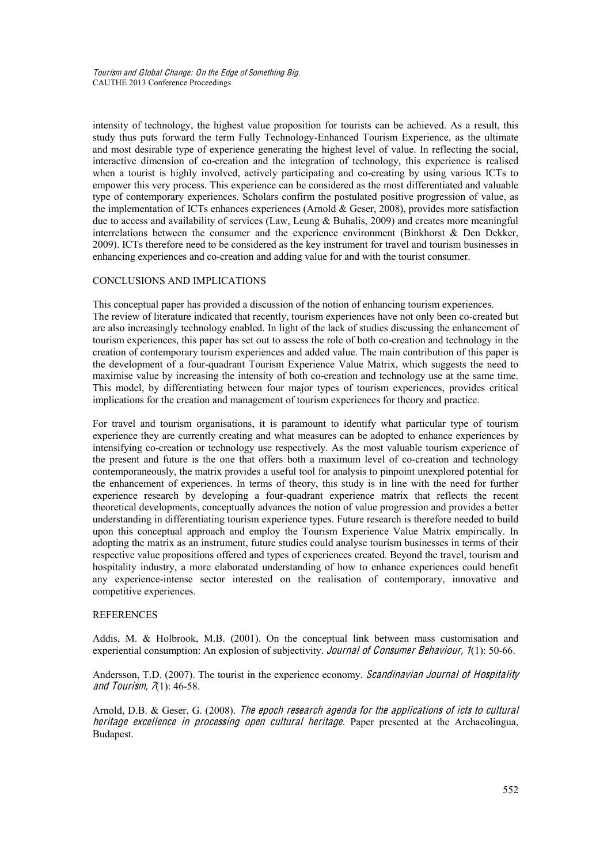intensity of technology, the highest value proposition for tourists can be achieved. As a result, this study thus puts forward the term Fully Technology-Enhanced Tourism Experience, as the ultimate and most desirable type of experience generating the highest level of value. In reflecting the social, interactive dimension of co-creation and the integration of technology, this experience is realised when a tourist is highly involved, actively participating and co-creating by using various ICTs to empower this very process. This experience can be considered as the most differentiated and valuable type of contemporary experiences. Scholars confirm the postulated positive progression of value, as the implementation of ICTs enhances experiences (Arnold  $\&$  Geser, 2008), provides more satisfaction due to access and availability of services (Law, Leung & Buhalis, 2009) and creates more meaningful interrelations between the consumer and the experience environment (Binkhorst & Den Dekker, 2009). ICTs therefore need to be considered as the key instrument for travel and tourism businesses in enhancing experiences and co-creation and adding value for and with the tourist consumer.

### CONCLUSIONS AND IMPLICATIONS

This conceptual paper has provided a discussion of the notion of enhancing tourism experiences. The review of literature indicated that recently, tourism experiences have not only been co-created but are also increasingly technology enabled. In light of the lack of studies discussing the enhancement of tourism experiences, this paper has set out to assess the role of both co-creation and technology in the creation of contemporary tourism experiences and added value. The main contribution of this paper is the development of a four-quadrant Tourism Experience Value Matrix, which suggests the need to maximise value by increasing the intensity of both co-creation and technology use at the same time. This model, by differentiating between four major types of tourism experiences, provides critical implications for the creation and management of tourism experiences for theory and practice.

For travel and tourism organisations, it is paramount to identify what particular type of tourism experience they are currently creating and what measures can be adopted to enhance experiences by intensifying co-creation or technology use respectively. As the most valuable tourism experience of the present and future is the one that offers both a maximum level of co-creation and technology contemporaneously, the matrix provides a useful tool for analysis to pinpoint unexplored potential for the enhancement of experiences. In terms of theory, this study is in line with the need for further experience research by developing a four-quadrant experience matrix that reflects the recent theoretical developments, conceptually advances the notion of value progression and provides a better understanding in differentiating tourism experience types. Future research is therefore needed to build upon this conceptual approach and employ the Tourism Experience Value Matrix empirically. In adopting the matrix as an instrument, future studies could analyse tourism businesses in terms of their respective value propositions offered and types of experiences created. Beyond the travel, tourism and hospitality industry, a more elaborated understanding of how to enhance experiences could benefit any experience-intense sector interested on the realisation of contemporary, innovative and competitive experiences.

### **REFERENCES**

Addis, M. & Holbrook, M.B. (2001). On the conceptual link between mass customisation and experiential consumption: An explosion of subjectivity. Journal of Consumer Behaviour, 1(1): 50-66.

Andersson, T.D. (2007). The tourist in the experience economy. Scandinavian Journal of Hospitality and Tourism,  $\pi(1)$ : 46-58.

Arnold, D.B. & Geser, G. (2008). The epoch research agenda for the applications of icts to cultural heritage excellence in processing open cultural heritage. Paper presented at the Archaeolingua, Budapest.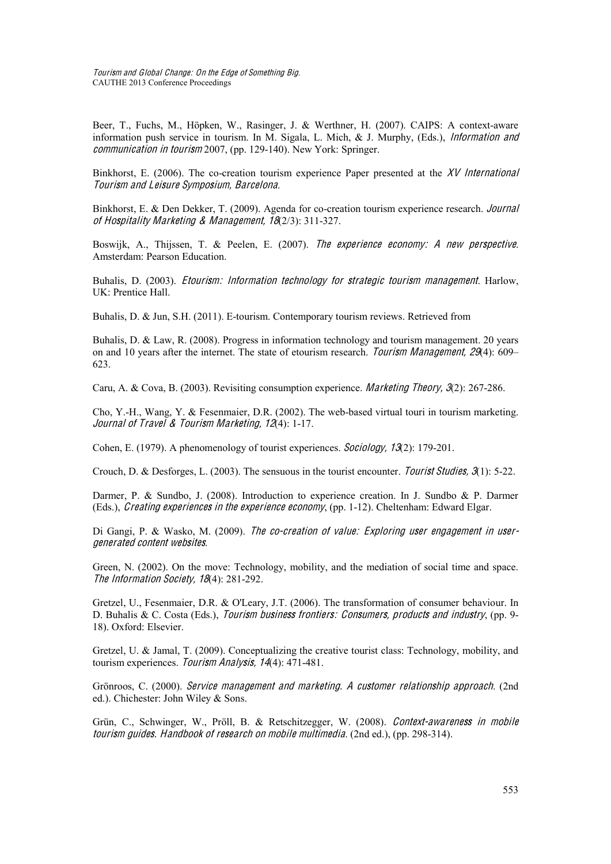Touris<sup>m</sup> and Global Chang<sup>e</sup>: On <sup>t</sup>h<sup>e</sup> Edg<sup>e</sup> <sup>o</sup>f Something Big. CAUTHE 2013 Conference Proceedings

Beer, T., Fuchs, M., Höpken, W., Rasinger, J. & Werthner, H. (2007). CAIPS: A context-aware information push service in tourism. In M. Sigala, L. Mich, & J. Murphy, (Eds.), Information and <sup>c</sup>ommunication in <sup>t</sup>ouris<sup>m</sup> 2007, (pp. 129-140). New York: Springer.

Binkhorst, E. (2006). The co-creation tourism experience Paper presented at the  $XV$  International Touris<sup>m</sup> and Leisur<sup>e</sup> Symposium, Barcelona.

Binkhorst, E. & Den Dekker, T. (2009). Agenda for co-creation tourism experience research. Journal <sup>o</sup>f Hospitality Marketing & Manag<sup>e</sup>ment, 18(2/3): 311-327.

Boswijk, A., Thijssen, T. & Peelen, E. (2007). The experience economy: A new perspective. Amsterdam: Pearson Education.

Buhalis, D. (2003). *Etourism: Information technology for strategic tourism management*. Harlow, UK: Prentice Hall.

Buhalis, D. & Jun, S.H. (2011). E-tourism. Contemporary tourism reviews. Retrieved from

Buhalis, D. & Law, R. (2008). Progress in information technology and tourism management. 20 years on and 10 years after the internet. The state of etourism research. Tourism Management, 29(4): 609– 623.

Caru, A. & Cova, B. (2003). Revisiting consumption experience. Marketing Theory, 3(2): 267-286.

Cho, Y.-H., Wang, Y. & Fesenmaier, D.R. (2002). The web-based virtual touri in tourism marketing. Journal <sup>o</sup>f Travel & Touris<sup>m</sup> Marketing, 12(4): 1-17.

Cohen, E. (1979). A phenomenology of tourist experiences. So<sup>c</sup>iology, 13(2): 179-201.

Crouch, D. & Desforges, L. (2003). The sensuous in the tourist encounter. Tourist Studies,  $\mathcal{F}(1)$ : 5-22.

Darmer, P. & Sundbo, J. (2008). Introduction to experience creation. In J. Sundbo & P. Darmer (Eds.), *Creating experiences in the experience economy*, (pp. 1-12). Cheltenham: Edward Elgar.

Di Gangi, P. & Wasko, M. (2009). The co-creation of value: Exploring user engagement in usergenerated <sup>c</sup>onten<sup>t</sup> <sup>w</sup>ebsite<sup>s</sup>.

Green, N. (2002). On the move: Technology, mobility, and the mediation of social time and space. The Information Society, 18(4): 281-292.

Gretzel, U., Fesenmaier, D.R. & O'Leary, J.T. (2006). The transformation of consumer behaviour. In D. Buhalis & C. Costa (Eds.), Tourism business frontiers: Consumers, products and industry, (pp. 9-18). Oxford: Elsevier.

Gretzel, U. & Jamal, T. (2009). Conceptualizing the creative tourist class: Technology, mobility, and tourism experiences. Touris<sup>m</sup> Analysis, 14(4): 471-481.

Grönroos, C. (2000). Service <sup>m</sup>anagemen<sup>t</sup> and <sup>m</sup>arketing. A <sup>c</sup>ustome<sup>r</sup> <sup>r</sup>elationship approach. (2nd ed.). Chichester: John Wiley & Sons.

Grün, C., Schwinger, W., Pröll, B. & Retschitzegger, W. (2008). Context-awareness in mobile <sup>t</sup>ouris<sup>m</sup> guides. Handbook <sup>o</sup>f <sup>r</sup>esearch on <sup>m</sup>obil<sup>e</sup> <sup>m</sup>ultimedia. (2nd ed.), (pp. 298-314).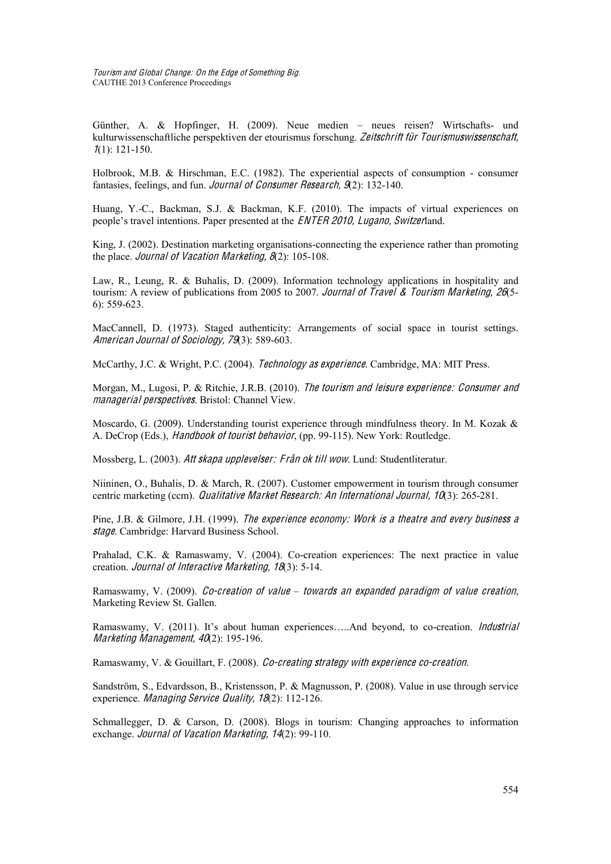Günther, A. & Hopfinger, H. (2009). Neue medien – neues reisen? Wirtschafts- und kulturwissenschaftliche perspektiven der etourismus forschung. Zeitschrift für Tourismuswissenschaft,  $1(1)$ : 121-150.

Holbrook, M.B. & Hirschman, E.C. (1982). The experiential aspects of consumption - consumer fantasies, feelings, and fun. Journal <sup>o</sup>f Consume<sup>r</sup> Research, 9(2): 132-140.

Huang, Y.-C., Backman, S.J. & Backman, K.F. (2010). The impacts of virtual experiences on people's travel intentions. Paper presented at the ENTER 2010, Lugano, Switzerland.

King, J. (2002). Destination marketing organisations-connecting the experience rather than promoting the place. Journal of Vacation Marketing, 8(2): 105-108.

Law, R., Leung, R. & Buhalis, D. (2009). Information technology applications in hospitality and tourism: A review of publications from 2005 to 2007. Journal of Travel & Tourism Marketing, 26(5-6): 559-623.

MacCannell, D. (1973). Staged authenticity: Arrangements of social space in tourist settings. American Journal <sup>o</sup>f So<sup>c</sup>iology, 79(3): 589-603.

McCarthy, J.C. & Wright, P.C. (2004). Technology <sup>a</sup><sup>s</sup> <sup>e</sup>xperience. Cambridge, MA: MIT Press.

Morgan, M., Lugosi, P. & Ritchie, J.R.B. (2010). Th<sup>e</sup> <sup>t</sup>ouris<sup>m</sup> and leisur<sup>e</sup> <sup>e</sup>xperience: Consume<sup>r</sup> and <sup>m</sup>anagerial perspective<sup>s</sup>. Bristol: Channel View.

Moscardo, G. (2009). Understanding tourist experience through mindfulness theory. In M. Kozak & A. DeCrop (Eds.), Handbook <sup>o</sup>f <sup>t</sup>ourist behavior, (pp. 99-115). New York: Routledge.

Mossberg, L. (2003). Att skapa upplevelser: Från ok till wow. Lund: Studentliteratur.

Niininen, O., Buhalis, D. & March, R. (2007). Customer empowerment in tourism through consumer centric marketing (ccm). Qualitativ<sup>e</sup> Marke<sup>t</sup> Research: An International Journal, 10(3): 265-281.

Pine, J.B. & Gilmore, J.H. (1999). Th<sup>e</sup> <sup>e</sup>xperience economy: Work i<sup>s</sup> <sup>a</sup> <sup>t</sup>heatr<sup>e</sup> and <sup>e</sup>very business <sup>a</sup> stag<sup>e</sup>. Cambridge: Harvard Business School.

Prahalad, C.K. & Ramaswamy, V. (2004). Co-creation experiences: The next practice in value creation. Journal <sup>o</sup>f Interactiv<sup>e</sup> Marketing, 18(3): 5-14.

Ramaswamy, V. (2009). Co-creation <sup>o</sup>f valu<sup>e</sup> *–* <sup>t</sup>oward<sup>s</sup> an <sup>e</sup>xpanded paradig<sup>m</sup> <sup>o</sup>f valu<sup>e</sup> <sup>c</sup>reation, Marketing Review St. Gallen.

Ramaswamy, V. (2011). It's about human experiences.....And beyond, to co-creation. *Industrial* Marketing Management,  $40(2)$ : 195-196.

Ramaswamy, V. & Gouillart, F. (2008). Co-creating strategy with <sup>e</sup>xperience <sup>c</sup>o-creation.

Sandström, S., Edvardsson, B., Kristensson, P. & Magnusson, P. (2008). Value in use through service experience. Managing Service Quality, 18(2): 112-126.

Schmallegger, D. & Carson, D. (2008). Blogs in tourism: Changing approaches to information exchange. Journal of Vacation Marketing, 14(2): 99-110.